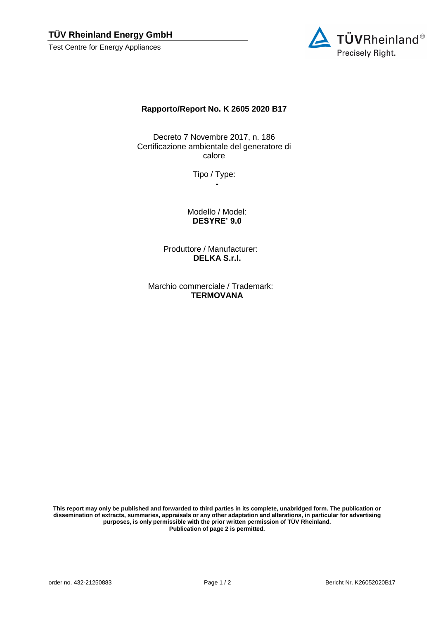## **TÜV Rheinland Energy GmbH**

Test Centre for Energy Appliances



## **Rapporto/Report No. K 2605 2020 B17**

Decreto 7 Novembre 2017, n. 186 Certificazione ambientale del generatore di calore

> Tipo / Type: **-**

Modello / Model: **DESYRE' 9.0**

Produttore / Manufacturer: **DELKA S.r.l.**

Marchio commerciale / Trademark: **TERMOVANA**

**This report may only be published and forwarded to third parties in its complete, unabridged form. The publication or dissemination of extracts, summaries, appraisals or any other adaptation and alterations, in particular for advertising purposes, is only permissible with the prior written permission of TÜV Rheinland. Publication of page 2 is permitted.**